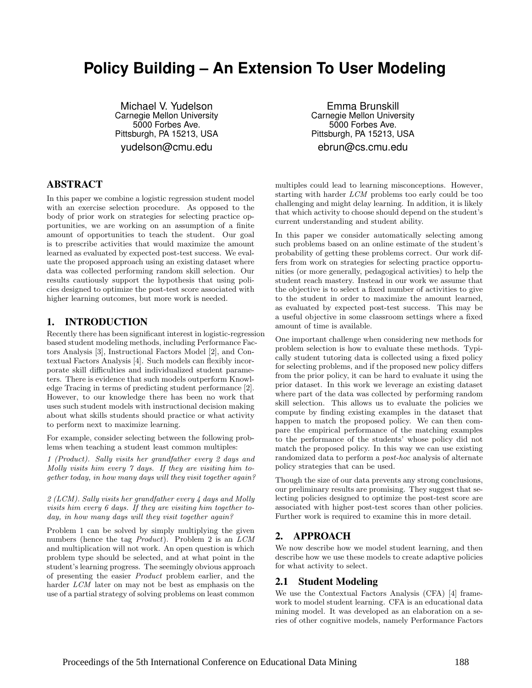# **Policy Building – An Extension To User Modeling**

Michael V. Yudelson Carnegie Mellon University 5000 Forbes Ave. Pittsburgh, PA 15213, USA yudelson@cmu.edu

## ABSTRACT

In this paper we combine a logistic regression student model with an exercise selection procedure. As opposed to the body of prior work on strategies for selecting practice opportunities, we are working on an assumption of a finite amount of opportunities to teach the student. Our goal is to prescribe activities that would maximize the amount learned as evaluated by expected post-test success. We evaluate the proposed approach using an existing dataset where data was collected performing random skill selection. Our results cautiously support the hypothesis that using policies designed to optimize the post-test score associated with higher learning outcomes, but more work is needed.

#### 1. INTRODUCTION

Recently there has been significant interest in logistic-regression based student modeling methods, including Performance Factors Analysis [3], Instructional Factors Model [2], and Contextual Factors Analysis [4]. Such models can flexibly incorporate skill difficulties and individualized student parameters. There is evidence that such models outperform Knowledge Tracing in terms of predicting student performance [2]. However, to our knowledge there has been no work that uses such student models with instructional decision making about what skills students should practice or what activity to perform next to maximize learning.

For example, consider selecting between the following problems when teaching a student least common multiples:

1 (Product). Sally visits her grandfather every 2 days and Molly visits him every 7 days. If they are visiting him together today, in how many days will they visit together again?

2 (LCM). Sally visits her grandfather every 4 days and Molly visits him every 6 days. If they are visiting him together today, in how many days will they visit together again?

Problem 1 can be solved by simply multiplying the given numbers (hence the tag *Product*). Problem 2 is an  $LCM$ and multiplication will not work. An open question is which problem type should be selected, and at what point in the student's learning progress. The seemingly obvious approach of presenting the easier Product problem earlier, and the harder *LCM* later on may not be best as emphasis on the use of a partial strategy of solving problems on least common

Emma Brunskill Carnegie Mellon University 5000 Forbes Ave. Pittsburgh, PA 15213, USA ebrun@cs.cmu.edu

multiples could lead to learning misconceptions. However, starting with harder LCM problems too early could be too challenging and might delay learning. In addition, it is likely that which activity to choose should depend on the student's current understanding and student ability.

In this paper we consider automatically selecting among such problems based on an online estimate of the student's probability of getting these problems correct. Our work differs from work on strategies for selecting practice opportunities (or more generally, pedagogical activities) to help the student reach mastery. Instead in our work we assume that the objective is to select a fixed number of activities to give to the student in order to maximize the amount learned, as evaluated by expected post-test success. This may be a useful objective in some classroom settings where a fixed amount of time is available.

One important challenge when considering new methods for problem selection is how to evaluate these methods. Typically student tutoring data is collected using a fixed policy for selecting problems, and if the proposed new policy differs from the prior policy, it can be hard to evaluate it using the prior dataset. In this work we leverage an existing dataset where part of the data was collected by performing random skill selection. This allows us to evaluate the policies we compute by finding existing examples in the dataset that happen to match the proposed policy. We can then compare the empirical performance of the matching examples to the performance of the students' whose policy did not match the proposed policy. In this way we can use existing randomized data to perform a post-hoc analysis of alternate policy strategies that can be used.

Though the size of our data prevents any strong conclusions, our preliminary results are promising. They suggest that selecting policies designed to optimize the post-test score are associated with higher post-test scores than other policies. Further work is required to examine this in more detail.

## 2. APPROACH

We now describe how we model student learning, and then describe how we use these models to create adaptive policies for what activity to select.

### 2.1 Student Modeling

We use the Contextual Factors Analysis (CFA) [4] framework to model student learning. CFA is an educational data mining model. It was developed as an elaboration on a series of other cognitive models, namely Performance Factors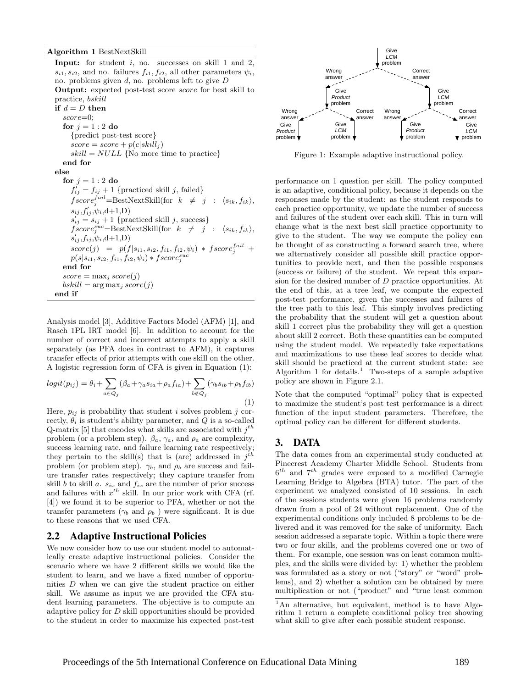**Input:** for student  $i$ , no. successes on skill 1 and 2,  $s_{i1}, s_{i2}$ , and no. failures  $f_{i1}, f_{i2}$ , all other parameters  $\psi_i$ , no. problems given  $d$ , no. problems left to give  $D$ Output: expected post-test score score for best skill to practice, bskill if  $d = D$  then  $score=0$ for  $i = 1 : 2$  do {predict post-test score}  $score = score + p(c|skill_i)$  $skill = NULL$  {No more time to practice} end for else for  $j = 1 : 2$  do  $f'_{ij} = f_{ij} + 1$  {practiced skill j, failed}  $fscore_j^{fail} = \text{BestNextStill}(\text{for } k \neq j : \langle s_{ik}, f_{ik} \rangle,$  $s_{ij}, f'_{ij}, \psi_i, d+1, D)$  $s'_{ij} = s_{ij} + 1$  {practiced skill j, success}  $fscore_j^{suc} = BestNextSkill(for \t k \neq j : \langle s_{ik}, f_{ik} \rangle,$  $s'_{ij}, f_{ij}, \psi_i, d+1, D)$  $score(j) = p(f|s_{i1}, s_{i2}, f_{i1}, f_{i2}, \psi_i) * fscore_j^{fail} +$  $p(s|s_{i1},s_{i2},f_{i1},f_{i2},\psi_i)*fscore^{suc}_j$ end for  $score = \max_j score(j)$  $bskill = \arg\max_j score(j)$ end if

Analysis model [3], Additive Factors Model (AFM) [1], and Rasch 1PL IRT model [6]. In addition to account for the number of correct and incorrect attempts to apply a skill separately (as PFA does in contrast to AFM), it captures transfer effects of prior attempts with one skill on the other. A logistic regression form of CFA is given in Equation (1):

$$
logit(p_{ij}) = \theta_i + \sum_{a \in Q_j} (\beta_a + \gamma_a s_{ia} + \rho_a f_{ia}) + \sum_{b \notin Q_j} (\gamma_b s_{ib} + \rho_b f_{ib})
$$
\n(1)

Here,  $p_{ij}$  is probability that student i solves problem j correctly,  $\theta_i$  is student's ability parameter, and  $Q$  is a so-called Q-matrix [5] that encodes what skills are associated with  $j^{th}$ problem (or a problem step).  $\beta_a$ ,  $\gamma_a$ , and  $\rho_a$  are complexity, success learning rate, and failure learning rate respectively; they pertain to the skill(s) that is (are) addressed in  $j<sup>th</sup>$ problem (or problem step).  $\gamma_b$ , and  $\rho_b$  are success and failure transfer rates respectively; they capture transfer from skill b to skill a.  $s_{ix}$  and  $f_{ix}$  are the number of prior success and failures with  $x^{th}$  skill. In our prior work with CFA (rf. [4]) we found it to be superior to PFA, whether or not the transfer parameters ( $\gamma_b$  and  $\rho_b$ ) were significant. It is due to these reasons that we used CFA.

#### 2.2 Adaptive Instructional Policies

We now consider how to use our student model to automatically create adaptive instructional policies. Consider the scenario where we have 2 different skills we would like the student to learn, and we have a fixed number of opportunities D when we can give the student practice on either skill. We assume as input we are provided the CFA student learning parameters. The objective is to compute an adaptive policy for D skill opportunities should be provided to the student in order to maximize his expected post-test



Figure 1: Example adaptive instructional policy.

performance on 1 question per skill. The policy computed is an adaptive, conditional policy, because it depends on the responses made by the student: as the student responds to each practice opportunity, we update the number of success and failures of the student over each skill. This in turn will change what is the next best skill practice opportunity to give to the student. The way we compute the policy can be thought of as constructing a forward search tree, where we alternatively consider all possible skill practice opportunities to provide next, and then the possible responses (success or failure) of the student. We repeat this expansion for the desired number of D practice opportunities. At the end of this, at a tree leaf, we compute the expected post-test performance, given the successes and failures of the tree path to this leaf. This simply involves predicting the probability that the student will get a question about skill 1 correct plus the probability they will get a question about skill 2 correct. Both these quantities can be computed using the student model. We repeatedly take expectations and maximizations to use these leaf scores to decide what skill should be practiced at the current student state: see Algorithm 1 for details.<sup>1</sup> Two-steps of a sample adaptive policy are shown in Figure 2.1.

Note that the computed "optimal" policy that is expected to maximize the student's post test performance is a direct function of the input student parameters. Therefore, the optimal policy can be different for different students.

#### 3. DATA

The data comes from an experimental study conducted at Pinecrest Academy Charter Middle School. Students from  $6^{th}$  and  $7^{th}$  grades were exposed to a modified Carnegie Learning Bridge to Algebra (BTA) tutor. The part of the experiment we analyzed consisted of 10 sessions. In each of the sessions students were given 16 problems randomly drawn from a pool of 24 without replacement. One of the experimental conditions only included 8 problems to be delivered and it was removed for the sake of uniformity. Each session addressed a separate topic. Within a topic there were two or four skills, and the problems covered one or two of them. For example, one session was on least common multiples, and the skills were divided by: 1) whether the problem was formulated as a story or not ("story" or "word" problems), and 2) whether a solution can be obtained by mere multiplication or not ("product" and "true least common

<sup>1</sup>An alternative, but equivalent, method is to have Algorithm 1 return a complete conditional policy tree showing what skill to give after each possible student response.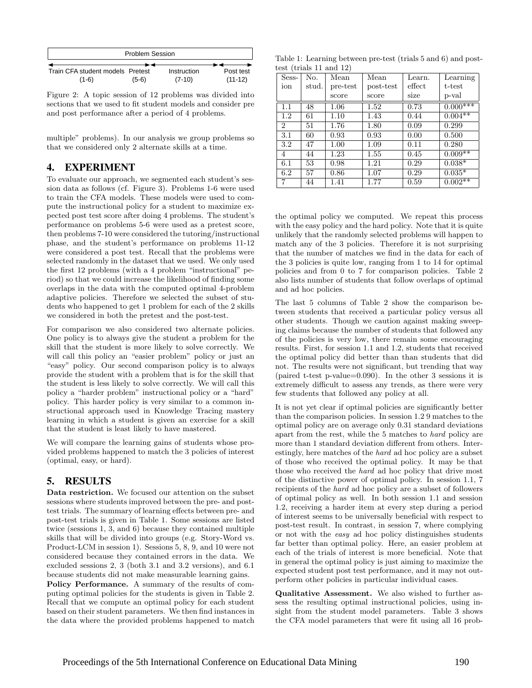| <b>Problem Session</b>           |         |             |           |  |  |
|----------------------------------|---------|-------------|-----------|--|--|
|                                  |         |             |           |  |  |
| Train CFA student models Pretest |         | Instruction | Post test |  |  |
| $(1-6)$                          | $(5-6)$ | $(7-10)$    | $(11-12)$ |  |  |

Figure 2: A topic session of 12 problems was divided into sections that we used to fit student models and consider pre and post performance after a period of 4 problems.

multiple" problems). In our analysis we group problems so that we considered only 2 alternate skills at a time.

### 4. EXPERIMENT

To evaluate our approach, we segmented each student's session data as follows (cf. Figure 3). Problems 1-6 were used to train the CFA models. These models were used to compute the instructional policy for a student to maximize expected post test score after doing 4 problems. The student's performance on problems 5-6 were used as a pretest score, then problems 7-10 were considered the tutoring/instructional phase, and the student's performance on problems 11-12 were considered a post test. Recall that the problems were selected randomly in the dataset that we used. We only used the first 12 problems (with a 4 problem "instructional" period) so that we could increase the likelihood of finding some overlaps in the data with the computed optimal 4-problem adaptive policies. Therefore we selected the subset of students who happened to get 1 problem for each of the 2 skills we considered in both the pretest and the post-test.

For comparison we also considered two alternate policies. One policy is to always give the student a problem for the skill that the student is more likely to solve correctly. We will call this policy an "easier problem" policy or just an "easy" policy. Our second comparison policy is to always provide the student with a problem that is for the skill that the student is less likely to solve correctly. We will call this policy a "harder problem" instructional policy or a "hard" policy. This harder policy is very similar to a common instructional approach used in Knowledge Tracing mastery learning in which a student is given an exercise for a skill that the student is least likely to have mastered.

We will compare the learning gains of students whose provided problems happened to match the 3 policies of interest (optimal, easy, or hard).

## 5. RESULTS

Data restriction. We focused our attention on the subset sessions where students improved between the pre- and posttest trials. The summary of learning effects between pre- and post-test trials is given in Table 1. Some sessions are listed twice (sessions 1, 3, and 6) because they contained multiple skills that will be divided into groups (e.g. Story-Word vs. Product-LCM in session 1). Sessions 5, 8, 9, and 10 were not considered because they contained errors in the data. We excluded sessions 2, 3 (both 3.1 and 3.2 versions), and 6.1 because students did not make measurable learning gains.

Policy Performance. A summary of the results of computing optimal policies for the students is given in Table 2. Recall that we compute an optimal policy for each student based on their student parameters. We then find instances in the data where the provided problems happened to match

Table 1: Learning between pre-test (trials 5 and 6) and posttest (trials 11 and 12)

| Sess-          | No.   | Mean     | Mean      | Learn. | Learning   |
|----------------|-------|----------|-----------|--------|------------|
| ion            | stud. | pre-test | post-test | effect | t-test     |
|                |       | score    | score     | size   | p-val      |
| 1.1            | 48    | 1.06     | 1.52      | 0.73   | $0.000***$ |
| 1.2            | 61    | 1.10     | 1.43      | 0.44   | $0.004**$  |
| $\overline{2}$ | 51    | 1.76     | 1.80      | 0.09   | 0.299      |
| 3.1            | 60    | 0.93     | 0.93      | 0.00   | 0.500      |
| 3.2            | 47    | 1.00     | 1.09      | 0.11   | 0.280      |
| 4              | 44    | 1.23     | 1.55      | 0.45   | $0.009**$  |
| 6.1            | 53    | 0.98     | 1.21      | 0.29   | $0.038*$   |
| 6.2            | 57    | 0.86     | 1.07      | 0.29   | $0.035*$   |
| 7              | 44    | 1.41     | 1.77      | 0.59   | $0.002**$  |

the optimal policy we computed. We repeat this process with the easy policy and the hard policy. Note that it is quite unlikely that the randomly selected problems will happen to match any of the 3 policies. Therefore it is not surprising that the number of matches we find in the data for each of the 3 policies is quite low, ranging from 1 to 14 for optimal policies and from 0 to 7 for comparison policies. Table 2 also lists number of students that follow overlaps of optimal and ad hoc policies.

The last 5 columns of Table 2 show the comparison between students that received a particular policy versus all other students. Though we caution against making sweeping claims because the number of students that followed any of the policies is very low, there remain some encouraging results. First, for session 1.1 and 1.2, students that received the optimal policy did better than than students that did not. The results were not significant, but trending that way (paired t-test p-value=0.090). In the other 3 sessions it is extremely difficult to assess any trends, as there were very few students that followed any policy at all.

It is not yet clear if optimal policies are significantly better than the comparison policies. In session 1.2 9 matches to the optimal policy are on average only 0.31 standard deviations apart from the rest, while the 5 matches to hard policy are more than 1 standard deviation different from others. Interestingly, here matches of the hard ad hoc policy are a subset of those who received the optimal policy. It may be that those who received the hard ad hoc policy that drive most of the distinctive power of optimal policy. In session 1.1, 7 recipients of the hard ad hoc policy are a subset of followers of optimal policy as well. In both session 1.1 and session 1.2, receiving a harder item at every step during a period of interest seems to be universally beneficial with respect to post-test result. In contrast, in session 7, where complying or not with the easy ad hoc policy distinguishes students far better than optimal policy. Here, an easier problem at each of the trials of interest is more beneficial. Note that in general the optimal policy is just aiming to maximize the expected student post test performance, and it may not outperform other policies in particular individual cases.

Qualitative Assessment. We also wished to further assess the resulting optimal instructional policies, using insight from the student model parameters. Table 3 shows the CFA model parameters that were fit using all 16 prob-